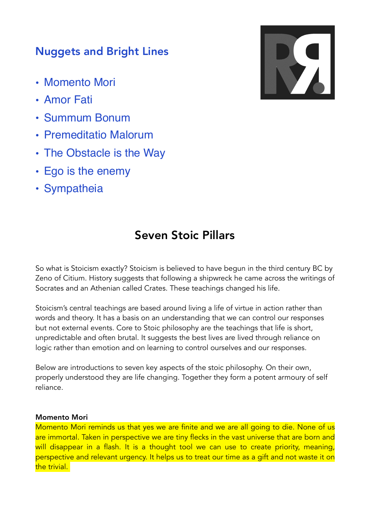# Nuggets and Bright Lines

- Momento Mori
- Amor Fati
- Summum Bonum
- Premeditatio Malorum
- The Obstacle is the Way
- Ego is the enemy
- Sympatheia

# Seven Stoic Pillars

So what is Stoicism exactly? Stoicism is believed to have begun in the third century BC by Zeno of Citium. History suggests that following a shipwreck he came across the writings of Socrates and an Athenian called Crates. These teachings changed his life.

Stoicism's central teachings are based around living a life of virtue in action rather than words and theory. It has a basis on an understanding that we can control our responses but not external events. Core to Stoic philosophy are the teachings that life is short, unpredictable and often brutal. It suggests the best lives are lived through reliance on logic rather than emotion and on learning to control ourselves and our responses.

Below are introductions to seven key aspects of the stoic philosophy. On their own, properly understood they are life changing. Together they form a potent armoury of self reliance.

#### Momento Mori

Momento Mori reminds us that yes we are finite and we are all going to die. None of us are immortal. Taken in perspective we are tiny flecks in the vast universe that are born and will disappear in a flash. It is a thought tool we can use to create priority, meaning, perspective and relevant urgency. It helps us to treat our time as a gift and not waste it on the trivial.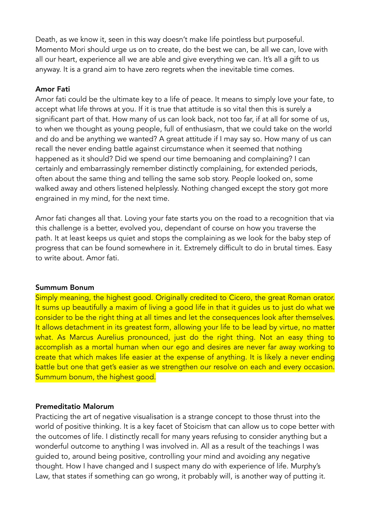Death, as we know it, seen in this way doesn't make life pointless but purposeful. Momento Mori should urge us on to create, do the best we can, be all we can, love with all our heart, experience all we are able and give everything we can. It's all a gift to us anyway. It is a grand aim to have zero regrets when the inevitable time comes.

## Amor Fati

Amor fati could be the ultimate key to a life of peace. It means to simply love your fate, to accept what life throws at you. If it is true that attitude is so vital then this is surely a significant part of that. How many of us can look back, not too far, if at all for some of us, to when we thought as young people, full of enthusiasm, that we could take on the world and do and be anything we wanted? A great attitude if I may say so. How many of us can recall the never ending battle against circumstance when it seemed that nothing happened as it should? Did we spend our time bemoaning and complaining? I can certainly and embarrassingly remember distinctly complaining, for extended periods, often about the same thing and telling the same sob story. People looked on, some walked away and others listened helplessly. Nothing changed except the story got more engrained in my mind, for the next time.

Amor fati changes all that. Loving your fate starts you on the road to a recognition that via this challenge is a better, evolved you, dependant of course on how you traverse the path. It at least keeps us quiet and stops the complaining as we look for the baby step of progress that can be found somewhere in it. Extremely difficult to do in brutal times. Easy to write about. Amor fati.

#### Summum Bonum

Simply meaning, the highest good. Originally credited to Cicero, the great Roman orator. It sums up beautifully a maxim of living a good life in that it quides us to just do what we consider to be the right thing at all times and let the consequences look after themselves. It allows detachment in its greatest form, allowing your life to be lead by virtue, no matter what. As Marcus Aurelius pronounced, just do the right thing. Not an easy thing to accomplish as a mortal human when our ego and desires are never far away working to create that which makes life easier at the expense of anything. It is likely a never ending battle but one that get's easier as we strengthen our resolve on each and every occasion. Summum bonum, the highest good.

# Premeditatio Malorum

Practicing the art of negative visualisation is a strange concept to those thrust into the world of positive thinking. It is a key facet of Stoicism that can allow us to cope better with the outcomes of life. I distinctly recall for many years refusing to consider anything but a wonderful outcome to anything I was involved in. All as a result of the teachings I was guided to, around being positive, controlling your mind and avoiding any negative thought. How I have changed and I suspect many do with experience of life. Murphy's Law, that states if something can go wrong, it probably will, is another way of putting it.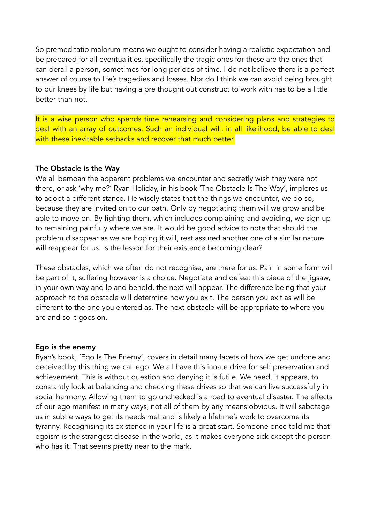So premeditatio malorum means we ought to consider having a realistic expectation and be prepared for all eventualities, specifically the tragic ones for these are the ones that can derail a person, sometimes for long periods of time. I do not believe there is a perfect answer of course to life's tragedies and losses. Nor do I think we can avoid being brought to our knees by life but having a pre thought out construct to work with has to be a little better than not.

It is a wise person who spends time rehearsing and considering plans and strategies to deal with an array of outcomes. Such an individual will, in all likelihood, be able to deal with these inevitable setbacks and recover that much better.

## The Obstacle is the Way

We all bemoan the apparent problems we encounter and secretly wish they were not there, or ask 'why me?' Ryan Holiday, in his book 'The Obstacle Is The Way', implores us to adopt a different stance. He wisely states that the things we encounter, we do so, because they are invited on to our path. Only by negotiating them will we grow and be able to move on. By fighting them, which includes complaining and avoiding, we sign up to remaining painfully where we are. It would be good advice to note that should the problem disappear as we are hoping it will, rest assured another one of a similar nature will reappear for us. Is the lesson for their existence becoming clear?

These obstacles, which we often do not recognise, are there for us. Pain in some form will be part of it, suffering however is a choice. Negotiate and defeat this piece of the jigsaw, in your own way and lo and behold, the next will appear. The difference being that your approach to the obstacle will determine how you exit. The person you exit as will be different to the one you entered as. The next obstacle will be appropriate to where you are and so it goes on.

# Ego is the enemy

Ryan's book, 'Ego Is The Enemy', covers in detail many facets of how we get undone and deceived by this thing we call ego. We all have this innate drive for self preservation and achievement. This is without question and denying it is futile. We need, it appears, to constantly look at balancing and checking these drives so that we can live successfully in social harmony. Allowing them to go unchecked is a road to eventual disaster. The effects of our ego manifest in many ways, not all of them by any means obvious. It will sabotage us in subtle ways to get its needs met and is likely a lifetime's work to overcome its tyranny. Recognising its existence in your life is a great start. Someone once told me that egoism is the strangest disease in the world, as it makes everyone sick except the person who has it. That seems pretty near to the mark.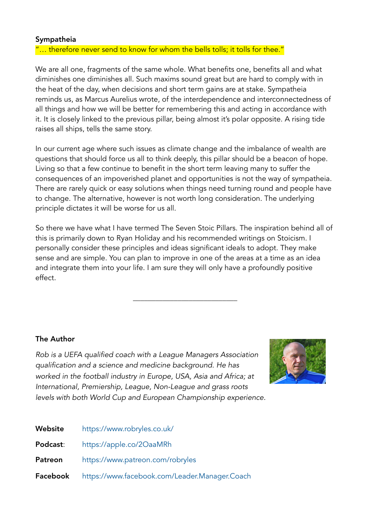## Sympatheia

"... therefore never send to know for whom the bells tolls; it tolls for thee."

We are all one, fragments of the same whole. What benefits one, benefits all and what diminishes one diminishes all. Such maxims sound great but are hard to comply with in the heat of the day, when decisions and short term gains are at stake. Sympatheia reminds us, as Marcus Aurelius wrote, of the interdependence and interconnectedness of all things and how we will be better for remembering this and acting in accordance with it. It is closely linked to the previous pillar, being almost it's polar opposite. A rising tide raises all ships, tells the same story.

In our current age where such issues as climate change and the imbalance of wealth are questions that should force us all to think deeply, this pillar should be a beacon of hope. Living so that a few continue to benefit in the short term leaving many to suffer the consequences of an impoverished planet and opportunities is not the way of sympatheia. There are rarely quick or easy solutions when things need turning round and people have to change. The alternative, however is not worth long consideration. The underlying principle dictates it will be worse for us all.

So there we have what I have termed The Seven Stoic Pillars. The inspiration behind all of this is primarily down to Ryan Holiday and his recommended writings on Stoicism. I personally consider these principles and ideas significant ideals to adopt. They make sense and are simple. You can plan to improve in one of the areas at a time as an idea and integrate them into your life. I am sure they will only have a profoundly positive effect.

\_\_\_\_\_\_\_\_\_\_\_\_\_\_\_\_\_\_\_\_\_\_\_\_\_\_\_\_

# The Author

*Rob is a UEFA qualified coach with a League Managers Association qualification and a science and medicine background. He has worked in the football industry in Europe, USA, Asia and Africa; at International, Premiership, League, Non-League and grass roots levels with both World Cup and European Championship experience.* 



| Website  | https://www.robryles.co.uk/                   |
|----------|-----------------------------------------------|
| Podcast: | https://apple.co/2OaaMRh                      |
| Patreon  | https://www.patreon.com/robryles              |
| Facebook | https://www.facebook.com/Leader.Manager.Coach |